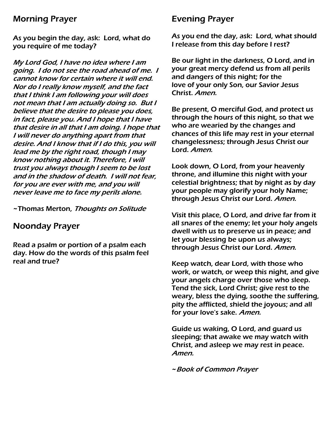## Morning Prayer

As you begin the day, ask: Lord, what do you require of me today?

My Lord God, I have no idea where I am going. I do not see the road ahead of me. I cannot know for certain where it will end. Nor do I really know myself, and the fact that I think I am following your will does not mean that I am actually doing so. But I believe that the desire to please you does, in fact, please you. And I hope that I have that desire in all that I am doing. I hope that I will never do anything apart from that desire. And I know that if I do this, you will lead me by the right road, though I may know nothing about it. Therefore, I will trust you always though I seem to be lost and in the shadow of death. I will not fear, for you are ever with me, and you will never leave me to face my perils alone.

~Thomas Merton, Thoughts on Solitude

## Noonday Prayer

Read a psalm or portion of a psalm each day. How do the words of this psalm feel real and true?

## Evening Prayer

As you end the day, ask: Lord, what should I release from this day before I rest?

Be our light in the darkness, O Lord, and in your great mercy defend us from all perils and dangers of this night; for the love of your only Son, our Savior Jesus Christ. Amen.

Be present, O merciful God, and protect us through the hours of this night, so that we who are wearied by the changes and chances of this life may rest in your eternal changelessness; through Jesus Christ our Lord. Amen.

Look down, O Lord, from your heavenly throne, and illumine this night with your celestial brightness; that by night as by day your people may glorify your holy Name; through Jesus Christ our Lord. Amen.

Visit this place, O Lord, and drive far from it all snares of the enemy; let your holy angels dwell with us to preserve us in peace; and let your blessing be upon us always; through Jesus Christ our Lord. Amen.

Keep watch, dear Lord, with those who work, or watch, or weep this night, and give your angels charge over those who sleep. Tend the sick, Lord Christ; give rest to the weary, bless the dying, soothe the suffering, pity the afflicted, shield the joyous; and all for your love's sake. Amen.

Guide us waking, O Lord, and guard us sleeping; that awake we may watch with Christ, and asleep we may rest in peace. Amen.

~Book of Common Prayer